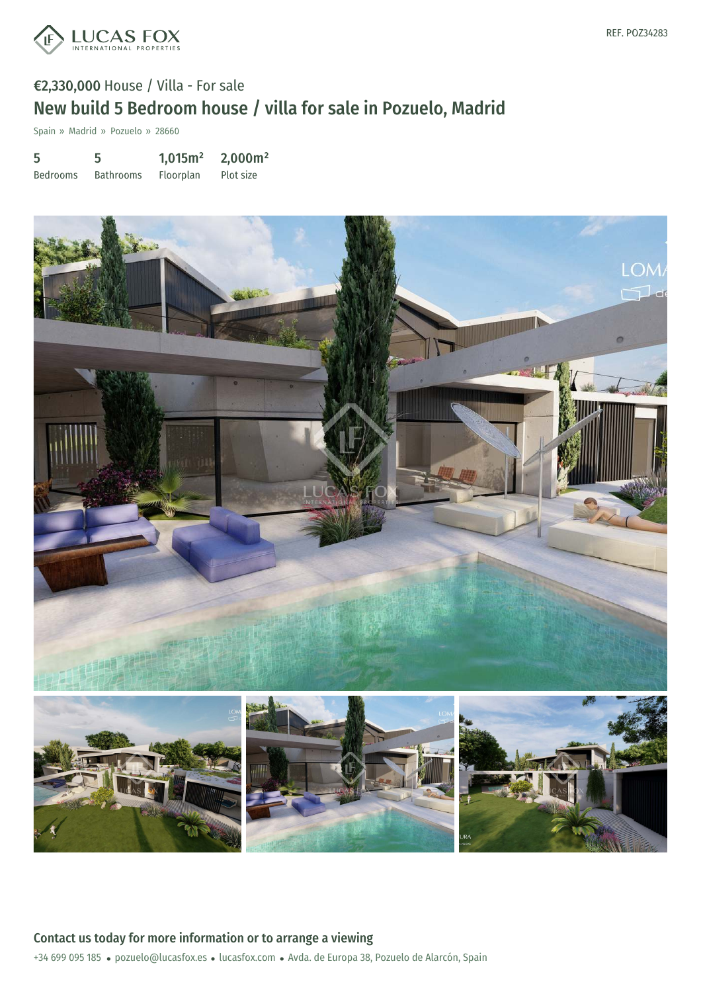

Spain » Madrid » Pozuelo » 28660

5 Bedrooms 5 Bathrooms 1,015m² Floorplan 2,000m² Plot size



+34 699 095 185 · pozuelo@lucasfox.es · lucasfox.com · Avda. de Europa 38, Pozuelo de Alarcón, Spain Contact us today for more information or to arrange a viewing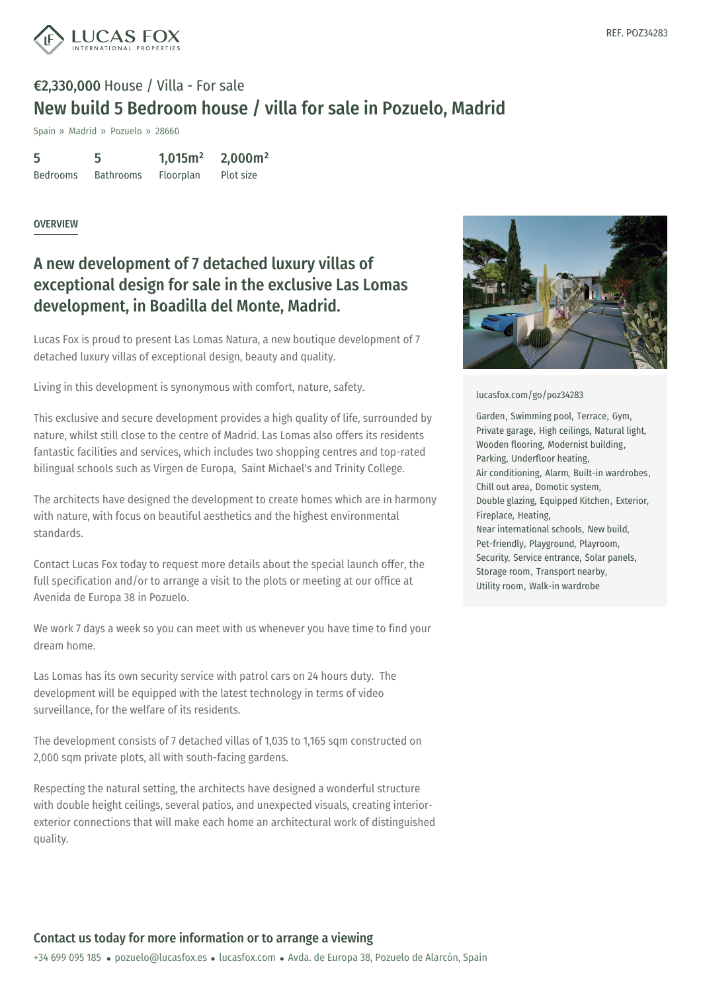

Spain » Madrid » Pozuelo » 28660

| 5               | 5                | 1,015m <sup>2</sup> | 2,000m <sup>2</sup> |
|-----------------|------------------|---------------------|---------------------|
| <b>Bedrooms</b> | <b>Bathrooms</b> | Floorplan           | Plot size           |

#### **OVERVIEW**

### A new development of 7 detached luxury villas of exceptional design for sale in the exclusive Las Lomas development, in Boadilla del Monte, Madrid.

Lucas Fox is proud to present Las Lomas Natura, a new boutique development of 7 detached luxury villas of exceptional design, beauty and quality.

Living in this development is synonymous with comfort, nature, safety.

This exclusive and secure development provides a high quality of life, surrounded by nature, whilst still close to the centre of Madrid. Las Lomas also offers its residents fantastic facilities and services, which includes two shopping centres and top-rated bilingual schools such as Virgen de Europa, Saint Michael's and Trinity College.

The architects have designed the development to create homes which are in harmony with nature, with focus on beautiful aesthetics and the highest environmental standards.

Contact Lucas Fox today to request more details about the special launch offer, the full specification and/or to arrange a visit to the plots or meeting at our office at Avenida de Europa 38 in Pozuelo.

We work 7 days a week so you can meet with us whenever you have time to find your dream home.

Las Lomas has its own security service with patrol cars on 24 hours duty. The development will be equipped with the latest technology in terms of video surveillance, for the welfare of its residents.

The development [consists](mailto:pozuelo@lucasfox.es) of 7 detached [villas](https://www.lucasfox.com) of 1,035 to 1,165 sqm constructed on 2,000 sqm private plots, all with south-facing gardens.

Respecting the natural setting, the architects have designed a wonderful structure with double height ceilings, several patios, and unexpected visuals, creating interiorexterior connections that will make each home an architectural work of distinguished quality.



#### [lucasfox.com/go/poz34283](https://www.lucasfox.com/go/poz34283)

Garden, Swimming pool, Terrace, Gym, Private garage, High ceilings, Natural light, Wooden flooring, Modernist building, Parking, Underfloor heating, Air conditioning, Alarm, Built-in wardrobes, Chill out area, Domotic system, Double glazing, Equipped Kitchen, Exterior, Fireplace, Heating, Near international schools, New build, Pet-friendly, Playground, Playroom, Security, Service entrance, Solar panels, Storage room, Transport nearby, Utility room, Walk-in wardrobe

### Contact us today for more information or to arrange a viewing

+34 699 095 185 · pozuelo@lucasfox.es · lucasfox.com · Avda. de Europa 38, Pozuelo de Alarcón, Spain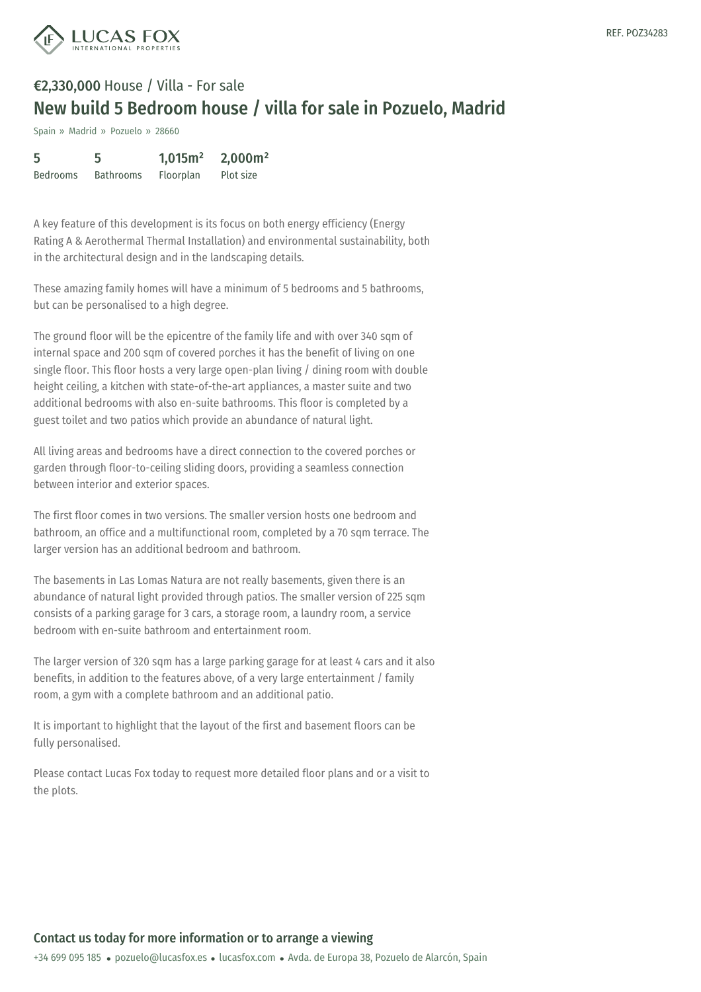

Spain » Madrid » Pozuelo » 28660

| 5               | 5                | 1,015m <sup>2</sup> | 2,000m <sup>2</sup> |
|-----------------|------------------|---------------------|---------------------|
| <b>Bedrooms</b> | <b>Bathrooms</b> | <b>Floorplan</b>    | Plot size           |

A key feature of this development is its focus on both energy efficiency (Energy Rating A & Aerothermal Thermal Installation) and environmental sustainability, both in the architectural design and in the landscaping details.

These amazing family homes will have a minimum of 5 bedrooms and 5 bathrooms, but can be personalised to a high degree.

The ground floor will be the epicentre of the family life and with over 340 sqm of internal space and 200 sqm of covered porches it has the benefit of living on one single floor. This floor hosts a very large open-plan living / dining room with double height ceiling, a kitchen with state-of-the-art appliances, a master suite and two additional bedrooms with also en-suite bathrooms. This floor is completed by a guest toilet and two patios which provide an abundance of natural light.

All living areas and bedrooms have a direct connection to the covered porches or garden through floor-to-ceiling sliding doors, providing a seamless connection between interior and exterior spaces.

The first floor comes in two versions. The smaller version hosts one bedroom and bathroom, an office and a multifunctional room, completed by a 70 sqm terrace. The larger version has an additional bedroom and bathroom.

The basements in Las Lomas Natura are not really basements, given there is an abundance of natural light provided through patios. The smaller version of 225 sqm consists of a parking garage for 3 cars, a storage room, a laundry room, a service bedroom with en-suite bathroom and entertainment room.

The larger version of 320 sqm has a large parking garage for at least 4 cars and it also benefits, in addition to the features above, of a very large entertainment / family room, a gym with a complete bathroom and an additional patio.

It is important to highlight that the layout of the first and basement floors can be fully personalise[d.](mailto:pozuelo@lucasfox.es)

Please contact Lucas Fox today to request more detailed floor plans and or a visit to the plots.